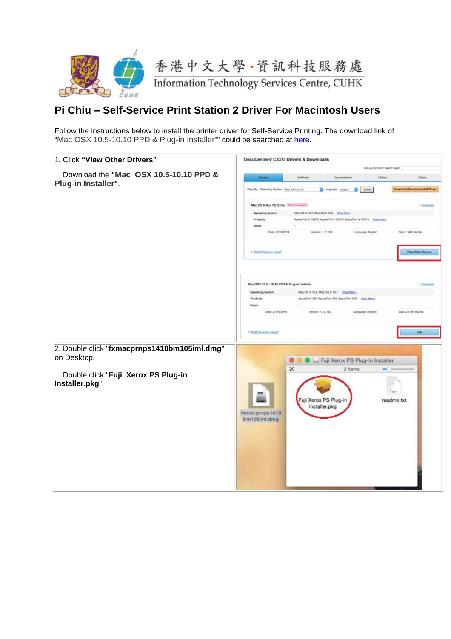

## **Pi Chiu – Self-Service Print Station 2 Driver For Macintosh Users**

Follow the instructions below to install the printer driver for Self-Service Printing. The download link of "Mac OSX 10.5-10.10 PPD & Plug-in Installer"" could be searched at [here.](http://onlinesupport.fujixerox.com/processDriverForm.do;jsessionid=25EF114E99007DCA420288442675A98C.worker3?ctry_code=HK&lang_code=en&d_lang=en&corp_pid=DC5C3373&rts=null&model=DocuCentre-V+C3373&type_id=2&oslist=Mac+OS+X+10.10&lang_list=en)

| 1. Click "View Other Drivers"                                 | DocuCentre-V C3373 Drivers & Downloads                    |                                        |                                                                  |                                             |                                    |
|---------------------------------------------------------------|-----------------------------------------------------------|----------------------------------------|------------------------------------------------------------------|---------------------------------------------|------------------------------------|
| Download the "Mac OSX 10.5-10.10 PPD &<br>Plug-in Installer". | Drivers                                                   | Self Help                              | Documentation                                                    | Not your product? Search again<br>Littleton | Others                             |
|                                                               | View By: Operating System   Mac OS X 10.10                |                                        | Language English Digitate                                        |                                             | <b>Download Recommended Driver</b> |
|                                                               | Mac OS X Non PS Driver   Recommended                      |                                        |                                                                  |                                             | > Download                         |
|                                                               | Operating System<br>Products<br>Notes<br>Date: 21/10/2014 | Version: 1.71.021                      | ApsosPort-V C2275 ApsosPort-V C3373 ApsosPort-V C3375 Shox Mon.z | Language: English                           | Size: 1,440.246 kb                 |
|                                                               |                                                           |                                        |                                                                  |                                             |                                    |
|                                                               | > What Driver do Lneed?                                   |                                        |                                                                  |                                             | View Other Drivers                 |
|                                                               | Mac OSX 10.5 - 10.10 PPD & Plug-in Installer              |                                        |                                                                  |                                             | > Download                         |
|                                                               | <b>Operating System</b>                                   |                                        | Mec OS X 10.8, Mec OS X 10.7 Enge More a                         |                                             |                                    |
|                                                               | Products<br><b>Notes</b>                                  |                                        | ApecePort 350 ApecePort 450 ApecePort 550 Show Marx +            |                                             |                                    |
|                                                               | Date: 21/10/2014                                          | Version: 1.72.150                      |                                                                  | Language: English                           | Size: 23,554.822 kb                |
|                                                               | > What Driver do I need?                                  |                                        |                                                                  |                                             | Hide                               |
| 2. Double click "fxmacprnps1410bm105iml.dmg"<br>on Desktop.   |                                                           |                                        | ● ● ■ Fuji Xerox PS Plug-in Installer                            |                                             |                                    |
| Double click "Fuji Xerox PS Plug-in<br>Installer.pkg".        |                                                           | ×                                      | 2 items                                                          |                                             |                                    |
|                                                               | fxmacprnps1410<br>bm105iml.dmg                            | Fuji Xerox PS Plug-in<br>Installer.pkg |                                                                  | - not<br>readme.txt                         |                                    |
|                                                               |                                                           |                                        |                                                                  |                                             |                                    |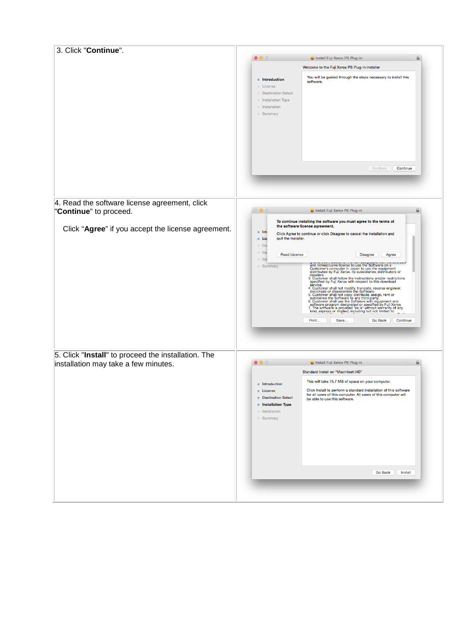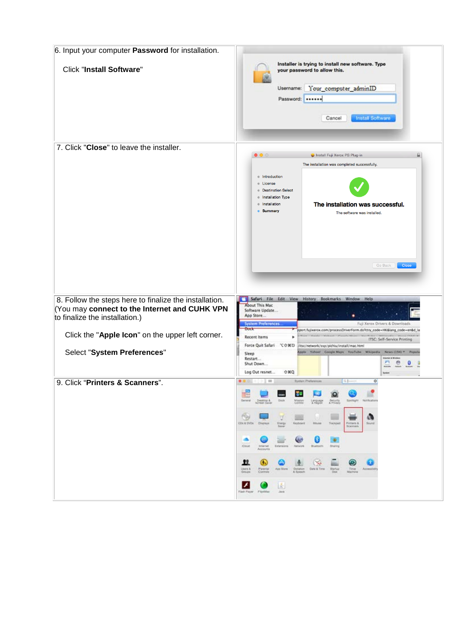| 6. Input your computer Password for installation.                                                                                        |                                                                                                                                                                                                                                                                                                                                                                                                                                                                                                                                                                                                                                                                                                                             |
|------------------------------------------------------------------------------------------------------------------------------------------|-----------------------------------------------------------------------------------------------------------------------------------------------------------------------------------------------------------------------------------------------------------------------------------------------------------------------------------------------------------------------------------------------------------------------------------------------------------------------------------------------------------------------------------------------------------------------------------------------------------------------------------------------------------------------------------------------------------------------------|
| <b>Click "Install Software"</b>                                                                                                          | Installer is trying to install new software. Type<br>your password to allow this.<br>Your_computer_adminID<br>Username:<br>Password:<br><b>Install Software</b><br>Cancel                                                                                                                                                                                                                                                                                                                                                                                                                                                                                                                                                   |
| 7. Click "Close" to leave the installer.                                                                                                 |                                                                                                                                                                                                                                                                                                                                                                                                                                                                                                                                                                                                                                                                                                                             |
|                                                                                                                                          | $\bullet\bullet\circ$<br>Install Fuji Xerox PS Plug-in                                                                                                                                                                                                                                                                                                                                                                                                                                                                                                                                                                                                                                                                      |
|                                                                                                                                          | The installation was completed successfully.<br>Introduction<br>$\circ$<br>License<br>$\circ$<br><b>Destination Select</b><br><b>Installation Type</b><br>$\bullet$<br>Installation<br>The installation was successful.<br>$\bullet$<br><b>Summary</b><br>The software was installed.<br>Go Back<br>Close                                                                                                                                                                                                                                                                                                                                                                                                                   |
| 8. Follow the steps here to finalize the installation.<br>You may connect to the Internet and CUHK VPN<br>to finalize the installation.) | Safari File<br>Edit View History Bookmarks Window Help<br>About This Mac<br>Software Update<br>App Store<br><b>System Preferences</b><br>Fuji Xerox Drivers & Downloads                                                                                                                                                                                                                                                                                                                                                                                                                                                                                                                                                     |
| Click the "Apple Icon" on the upper left corner.                                                                                         | Duck<br>port.fujiverox.com/processDriverForm.do?ctry_code=HK⟨_code=en&d_la<br><b>Recent Items</b><br>ITSC: Self-Service Printing                                                                                                                                                                                                                                                                                                                                                                                                                                                                                                                                                                                            |
| Select "System Preferences"                                                                                                              | Force Quit Safari で o 其 20<br>Jitsc/network/ssp/pichiu/install/mac.html<br>Apple Vabout Coogle Maps VauTube Wikipedia<br>News (194) *<br>Sleep<br>Restart<br>Shut Down<br>Log Out resnet<br>心滅の                                                                                                                                                                                                                                                                                                                                                                                                                                                                                                                             |
| 9. Click "Printers & Scanners".                                                                                                          | <b>Byden Preferences</b><br>$\circ$<br>$\frac{1}{2}$<br>Q<br><b>P</b><br>E.<br>$rac{1}{2}$<br>Desittop &<br>Security<br>A Provide<br>Spotlight Notification<br>$\bullet$<br>$\mathcal{A}$<br>$\circledcirc$<br>$\Box$<br>$\beta$<br><b>COLA DVDs</b> Displays<br>Energy<br>Kayboard<br>Moine<br>Tocont<br>Protects &<br>Sound<br>Save<br>Scannage<br>Q<br>₩<br>Θ<br>$\circledast$<br>œ<br>litieret.<br><b>Coud</b><br>Education Network<br>Burboth<br><b>Sharing</b><br>Accounts<br>$^{\circ}$<br>12<br>◉<br>$\alpha$<br>in.<br><b>Dies &amp;</b><br><b>Parentel</b><br>Contrata<br>Time<br>App Store Detailer Date & Time Starfust<br>Accessibili<br>A. Speech<br>$\bullet$<br>x<br>图<br>Fash Payer Flo-Mac<br><b>Jave</b> |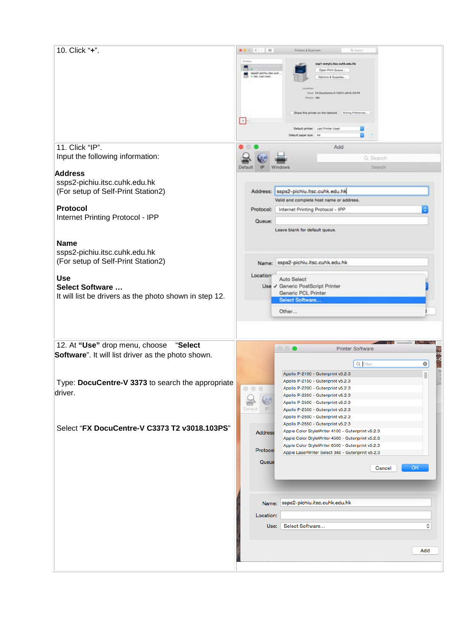| 10. Click "+".                                         | <b>DOM: NO</b><br>Printers & Boarvars<br>Q Search                  |
|--------------------------------------------------------|--------------------------------------------------------------------|
|                                                        |                                                                    |
|                                                        | sapt-wmyle.http://sh.edu.hk                                        |
|                                                        | Open Print Queue.<br>Nos2-pichi, Isc.cuh                           |
|                                                        | * 104, List Used<br>Options & Supplies.                            |
|                                                        |                                                                    |
|                                                        | Kind., FX DocuCentre-fv C3573 +3018, 103 PS.                       |
|                                                        |                                                                    |
|                                                        |                                                                    |
|                                                        | Share this printer on the network<br><b>Sharing Frelershops</b>    |
|                                                        | $+$                                                                |
|                                                        | Default printer: Last Printer Used                                 |
|                                                        | B<br>39<br>Default paper size:   Ai                                |
|                                                        |                                                                    |
| 11. Click "IP".                                        | Add                                                                |
| Input the following information:                       |                                                                    |
|                                                        | Q Search                                                           |
|                                                        | <b>Bearch</b><br>Défau<br>Windows                                  |
| <b>Address</b>                                         |                                                                    |
| ssps2-pichiu.itsc.cuhk.edu.hk                          |                                                                    |
| (For setup of Self-Print Station2)                     | ssps2-pichiu.itsc.cuhk.edu.hk<br>Address:                          |
|                                                        |                                                                    |
|                                                        | Valid and complete host name or address.                           |
| Protocol                                               | Internet Printing Protocol - IPP<br>Protocol:                      |
| Internet Printing Protocol - IPP                       |                                                                    |
|                                                        | Queue:                                                             |
|                                                        | Leave blank for default queue.                                     |
|                                                        |                                                                    |
| <b>Name</b>                                            |                                                                    |
| ssps2-pichiu.itsc.cuhk.edu.hk                          |                                                                    |
|                                                        |                                                                    |
| (For setup of Self-Print Station2)                     | ssps2-pichiu.itsc.cuhk.edu.hk<br>Name:                             |
|                                                        |                                                                    |
| <b>Use</b>                                             | Location<br>Auto Select                                            |
| <b>Select Software </b>                                | Use V Generic PostScript Printer                                   |
|                                                        | Generic PCL Printer                                                |
| It will list be drivers as the photo shown in step 12. | Select Software                                                    |
|                                                        |                                                                    |
|                                                        |                                                                    |
|                                                        | Other                                                              |
|                                                        |                                                                    |
|                                                        |                                                                    |
|                                                        |                                                                    |
|                                                        |                                                                    |
| 12. At "Use" drop menu, choose "Select                 | $\circ$<br><b>Printer Software</b>                                 |
|                                                        |                                                                    |
| Software". It will list driver as the photo shown.     | ◎                                                                  |
|                                                        | Q Filter                                                           |
|                                                        | Apollo P-2100 - Gutenprint v5.2.3                                  |
|                                                        | Apollo P-2150 - Gutenprint v5.2.3                                  |
| Type: DocuCentre-V 3373 to search the appropriate      | Apollo P-2200 - Gutenprint v5.2.3<br>$\circ\circ\circ$             |
| driver.                                                | Apollo P-2250 - Gutenprint v5.2.3                                  |
|                                                        | Apollo P-2500 - Gutenprint v5.2.3                                  |
|                                                        | Default<br>IP<br>Apollo P-2550 - Gutenprint v5.2.3                 |
|                                                        | Apollo P-2600 - Gutenprint v5.2.3                                  |
|                                                        | Apollo P-2650 - Gutenprint v5.2.3                                  |
| Select "FX DocuCentre-V C3373 T2 v3018.103PS"          | Apple Color StyleWriter 4100 - Gutenprint v5.2.3<br><b>Address</b> |
|                                                        | Apple Color StyleWriter 4500 - Gutenprint v5.2.3                   |
|                                                        | Apple Color StyleWriter 6500 - Gutenprint v5.2.3                   |
|                                                        | Protocol<br>Apple LaserWriter Select 360 - Gutenprint v5.2.3       |
|                                                        |                                                                    |
|                                                        | Queue<br>OK<br>Cancel                                              |
|                                                        |                                                                    |
|                                                        |                                                                    |
|                                                        |                                                                    |
|                                                        |                                                                    |
|                                                        | ssps2-pichiu.itsc.cuhk.edu.hk<br>Name:                             |
|                                                        |                                                                    |
|                                                        | Location:                                                          |
|                                                        |                                                                    |
|                                                        | ≎<br>Select Software<br>Use:                                       |
|                                                        |                                                                    |
|                                                        |                                                                    |
|                                                        | Add                                                                |
|                                                        |                                                                    |
|                                                        |                                                                    |